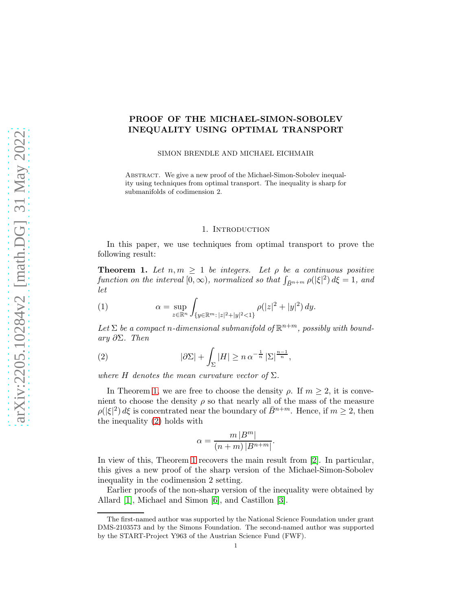## PROOF OF THE MICHAEL-SIMON-SOBOLEV INEQUALITY USING OPTIMAL TRANSPORT

SIMON BRENDLE AND MICHAEL EICHMAIR

Abstract. We give a new proof of the Michael-Simon-Sobolev inequality using techniques from optimal transport. The inequality is sharp for submanifolds of codimension 2.

## 1. INTRODUCTION

In this paper, we use techniques from optimal transport to prove the following result:

<span id="page-0-0"></span>**Theorem 1.** Let  $n, m \geq 1$  be integers. Let  $\rho$  be a continuous positive function on the interval  $[0, \infty)$ , normalized so that  $\int_{\bar{B}^{n+m}} \rho(|\xi|^2) d\xi = 1$ , and let

<span id="page-0-2"></span>(1) 
$$
\alpha = \sup_{z \in \mathbb{R}^n} \int_{\{y \in \mathbb{R}^m : |z|^2 + |y|^2 < 1\}} \rho(|z|^2 + |y|^2) \, dy.
$$

Let  $\Sigma$  be a compact n-dimensional submanifold of  $\mathbb{R}^{n+m}$ , possibly with boundary  $\partial \Sigma$ . Then

(2) 
$$
|\partial \Sigma| + \int_{\Sigma} |H| \geq n \alpha^{-\frac{1}{n}} |\Sigma|^{\frac{n-1}{n}},
$$

where H denotes the mean curvature vector of  $\Sigma$ .

In Theorem [1,](#page-0-0) we are free to choose the density  $\rho$ . If  $m \geq 2$ , it is convenient to choose the density  $\rho$  so that nearly all of the mass of the measure  $\rho(|\xi|^2) d\xi$  is concentrated near the boundary of  $\bar{B}^{n+m}$ . Hence, if  $m \geq 2$ , then the inequality [\(2\)](#page-0-1) holds with

<span id="page-0-1"></span>
$$
\alpha = \frac{m|B^m|}{(n+m)|B^{n+m}|}.
$$

In view of this, Theorem [1](#page-0-0) recovers the main result from [\[2\]](#page-7-0). In particular, this gives a new proof of the sharp version of the Michael-Simon-Sobolev inequality in the codimension 2 setting.

Earlier proofs of the non-sharp version of the inequality were obtained by Allard [\[1\]](#page-7-1), Michael and Simon [\[6\]](#page-7-2), and Castillon [\[3\]](#page-7-3).

The first-named author was supported by the National Science Foundation under grant DMS-2103573 and by the Simons Foundation. The second-named author was supported by the START-Project Y963 of the Austrian Science Fund (FWF).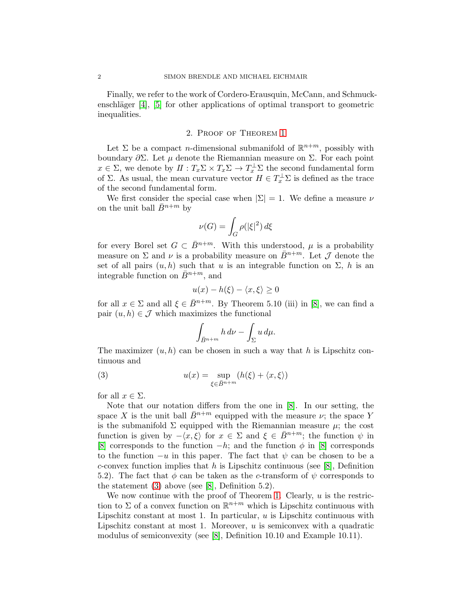Finally, we refer to the work of Cordero-Erausquin, McCann, and Schmuckenschläger  $[4]$ ,  $[5]$  for other applications of optimal transport to geometric inequalities.

## 2. Proof of Theorem [1](#page-0-0)

Let  $\Sigma$  be a compact *n*-dimensional submanifold of  $\mathbb{R}^{n+m}$ , possibly with boundary  $\partial \Sigma$ . Let *μ* denote the Riemannian measure on Σ. For each point  $x \in \Sigma$ , we denote by  $\Pi: T_x \Sigma \times T_x \Sigma \to T_x^{\perp} \Sigma$  the second fundamental form of  $\Sigma$ . As usual, the mean curvature vector  $H \in T_x^{\perp} \Sigma$  is defined as the trace of the second fundamental form.

We first consider the special case when  $|\Sigma| = 1$ . We define a measure  $\nu$ on the unit ball  $\bar{B}^{n+m}$  by

$$
\nu(G)=\int_G \rho(|\xi|^2)\,d\xi
$$

for every Borel set  $G \subset \overline{B}^{n+m}$ . With this understood,  $\mu$  is a probability measure on  $\Sigma$  and  $\nu$  is a probability measure on  $\bar{B}^{n+m}$ . Let  $\mathcal J$  denote the set of all pairs  $(u, h)$  such that u is an integrable function on  $\Sigma$ , h is an integrable function on  $\bar{B}^{n+m}$ , and

$$
u(x) - h(\xi) - \langle x, \xi \rangle \ge 0
$$

for all  $x \in \Sigma$  and all  $\xi \in \overline{B}^{n+m}$ . By Theorem 5.10 (iii) in [\[8\]](#page-7-6), we can find a pair  $(u, h) \in \mathcal{J}$  which maximizes the functional

<span id="page-1-0"></span>
$$
\int_{\bar{B}^{n+m}} h \, d\nu - \int_{\Sigma} u \, d\mu.
$$

The maximizer  $(u, h)$  can be chosen in such a way that h is Lipschitz continuous and

(3) 
$$
u(x) = \sup_{\xi \in \bar{B}^{n+m}} (h(\xi) + \langle x, \xi \rangle)
$$

for all  $x \in \Sigma$ .

Note that our notation differs from the one in [\[8\]](#page-7-6). In our setting, the space X is the unit ball  $\bar{B}^{n+m}$  equipped with the measure  $\nu$ ; the space Y is the submanifold  $\Sigma$  equipped with the Riemannian measure  $\mu$ ; the cost function is given by  $-\langle x, \xi \rangle$  for  $x \in \Sigma$  and  $\xi \in \overline{B}^{n+m}$ ; the function  $\psi$  in [\[8\]](#page-7-6) corresponds to the function  $-h$ ; and the function  $\phi$  in [\[8\]](#page-7-6) corresponds to the function  $-u$  in this paper. The fact that  $\psi$  can be chosen to be a c-convex function implies that h is Lipschitz continuous (see [\[8\]](#page-7-6), Definition 5.2). The fact that  $\phi$  can be taken as the c-transform of  $\psi$  corresponds to the statement [\(3\)](#page-1-0) above (see [\[8\]](#page-7-6), Definition 5.2).

We now continue with the proof of Theorem [1.](#page-0-0) Clearly,  $u$  is the restriction to  $\Sigma$  of a convex function on  $\mathbb{R}^{n+m}$  which is Lipschitz continuous with Lipschitz constant at most 1. In particular,  $u$  is Lipschitz continuous with Lipschitz constant at most 1. Moreover,  $u$  is semiconvex with a quadratic modulus of semiconvexity (see [\[8\]](#page-7-6), Definition 10.10 and Example 10.11).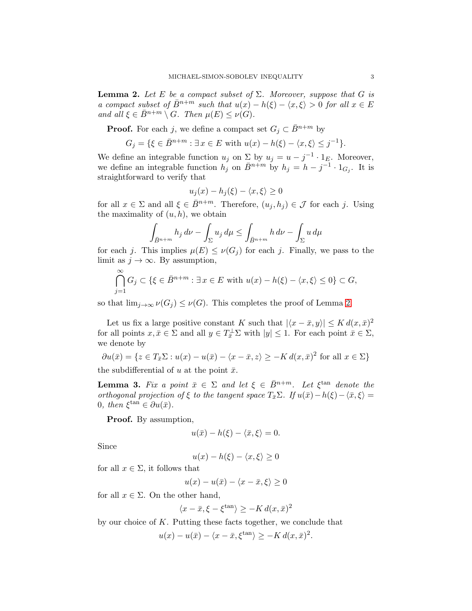<span id="page-2-0"></span>**Lemma 2.** Let E be a compact subset of  $\Sigma$ . Moreover, suppose that G is a compact subset of  $\bar{B}^{n+m}$  such that  $u(x) - h(\xi) - \langle x, \xi \rangle > 0$  for all  $x \in E$ and all  $\xi \in \overline{B}^{n+m} \setminus G$ . Then  $\mu(E) \le \nu(G)$ .

**Proof.** For each j, we define a compact set  $G_i \subset \overline{B}^{n+m}$  by

$$
G_j = \{ \xi \in \bar{B}^{n+m} : \exists x \in E \text{ with } u(x) - h(\xi) - \langle x, \xi \rangle \le j^{-1} \}.
$$

We define an integrable function  $u_j$  on  $\sum_{i=1}^{\infty}$  by  $u_j = u - j^{-1} \cdot 1_E$ . Moreover, we define an integrable function  $h_j$  on  $\bar{B}^{n+m}$  by  $h_j = h - j^{-1} \cdot 1_{G_j}$ . It is straightforward to verify that

$$
u_j(x) - h_j(\xi) - \langle x, \xi \rangle \ge 0
$$

for all  $x \in \Sigma$  and all  $\xi \in \overline{B}^{n+m}$ . Therefore,  $(u_j, h_j) \in \mathcal{J}$  for each j. Using the maximality of  $(u, h)$ , we obtain

$$
\int_{\bar{B}^{n+m}} h_j \, d\nu - \int_{\Sigma} u_j \, d\mu \le \int_{\bar{B}^{n+m}} h \, d\nu - \int_{\Sigma} u \, d\mu
$$

for each j. This implies  $\mu(E) \leq \nu(G_i)$  for each j. Finally, we pass to the limit as  $j \to \infty$ . By assumption,

$$
\bigcap_{j=1}^{\infty} G_j \subset \{ \xi \in \bar{B}^{n+m} : \exists x \in E \text{ with } u(x) - h(\xi) - \langle x, \xi \rangle \le 0 \} \subset G,
$$

so that  $\lim_{j\to\infty}\nu(G_j)\leq \nu(G)$ . This completes the proof of Lemma [2.](#page-2-0)

Let us fix a large positive constant K such that  $|\langle x - \bar{x}, y \rangle| \leq K d(x, \bar{x})^2$ for all points  $x, \bar{x} \in \Sigma$  and all  $y \in T_{\bar{x}}^{\perp} \Sigma$  with  $|y| \leq 1$ . For each point  $\bar{x} \in \Sigma$ , we denote by

$$
\partial u(\bar{x}) = \{ z \in T_{\bar{x}} \Sigma : u(x) - u(\bar{x}) - \langle x - \bar{x}, z \rangle \ge -K d(x, \bar{x})^2 \text{ for all } x \in \Sigma \}
$$

the subdifferential of u at the point  $\bar{x}$ .

<span id="page-2-1"></span>**Lemma 3.** Fix a point  $\bar{x} \in \Sigma$  and let  $\xi \in \bar{B}^{n+m}$ . Let  $\xi^{\tan}$  denote the orthogonal projection of ξ to the tangent space  $T_{\bar{x}}\Sigma$ . If  $u(\bar{x})-h(\xi)-\langle \bar{x}, \xi \rangle =$ 0, then  $\xi^{\tan} \in \partial u(\bar{x})$ .

Proof. By assumption,

$$
u(\bar{x}) - h(\xi) - \langle \bar{x}, \xi \rangle = 0.
$$

Since

$$
u(x) - h(\xi) - \langle x, \xi \rangle \ge 0
$$

for all  $x \in \Sigma$ , it follows that

$$
u(x) - u(\bar{x}) - \langle x - \bar{x}, \xi \rangle \ge 0
$$

for all  $x \in \Sigma$ . On the other hand,

$$
\langle x - \bar{x}, \xi - \xi^{\tan} \rangle \ge -K d(x, \bar{x})^2
$$

by our choice of  $K$ . Putting these facts together, we conclude that

$$
u(x) - u(\bar{x}) - \langle x - \bar{x}, \xi^{\tan} \rangle \ge -K d(x, \bar{x})^2.
$$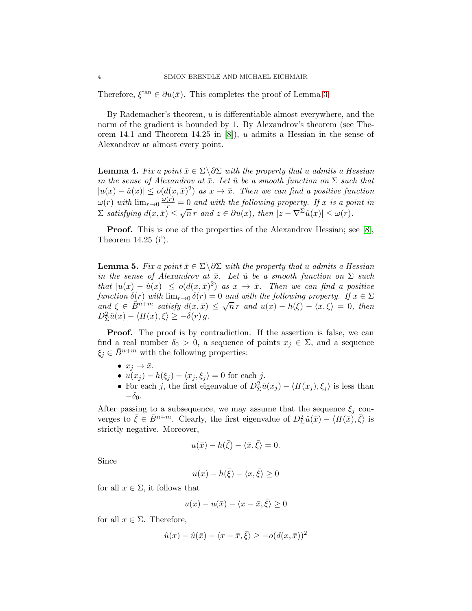Therefore,  $\xi^{\tan} \in \partial u(\bar{x})$ . This completes the proof of Lemma [3.](#page-2-1)

By Rademacher's theorem,  $u$  is differentiable almost everywhere, and the norm of the gradient is bounded by 1. By Alexandrov's theorem (see Theorem 14.1 and Theorem 14.25 in [\[8\]](#page-7-6)), u admits a Hessian in the sense of Alexandrov at almost every point.

<span id="page-3-1"></span>**Lemma 4.** Fix a point  $\bar{x} \in \Sigma \backslash \partial \Sigma$  with the property that u admits a Hessian in the sense of Alexandrov at  $\bar{x}$ . Let  $\hat{u}$  be a smooth function on  $\Sigma$  such that  $|u(x) - \hat{u}(x)| \le o(d(x, \bar{x})^2)$  as  $x \to \bar{x}$ . Then we can find a positive function  $\omega(r)$  with  $\lim_{r\to 0} \frac{\omega(r)}{r} = 0$  and with the following property. If x is a point in  $\sum$  satisfying  $d(x,\bar{x}) \leq \sqrt{n} r$  and  $z \in \partial u(x)$ , then  $|z - \nabla^{\Sigma} \hat{u}(x)| \leq \omega(r)$ .

**Proof.** This is one of the properties of the Alexandrov Hessian; see [\[8\]](#page-7-6), Theorem 14.25 (i').

<span id="page-3-0"></span>**Lemma 5.** Fix a point  $\bar{x} \in \Sigma \backslash \partial \Sigma$  with the property that u admits a Hessian in the sense of Alexandrov at  $\bar{x}$ . Let  $\hat{u}$  be a smooth function on  $\Sigma$  such that  $|u(x) - \hat{u}(x)| \le o(d(x,\bar{x})^2)$  as  $x \to \bar{x}$ . Then we can find a positive function  $\delta(r)$  with  $\lim_{r\to 0} \delta(r) = 0$  and with the following property. If  $x \in \Sigma$ and  $\xi \in \overline{\mathring{B}}^{n+m}$  satisfy  $d(x,\overline{x}) \leq \sqrt{n} r$  and  $u(x) - h(\xi) - \langle x, \xi \rangle = 0$ , then  $D_{\Sigma}^2 \hat{u}(x) - \langle H(x), \xi \rangle \geq -\delta(r) g.$ 

**Proof.** The proof is by contradiction. If the assertion is false, we can find a real number  $\delta_0 > 0$ , a sequence of points  $x_j \in \Sigma$ , and a sequence  $\xi_j \in \bar{B}^{n+m}$  with the following properties:

- $x_j \rightarrow \bar{x}$ .
- $u(x_j) h(\xi_j) \langle x_j, \xi_j \rangle = 0$  for each j.
- For each j, the first eigenvalue of  $D_{\Sigma}^2 \hat{u}(x_j) \langle H(x_j), \xi_j \rangle$  is less than  $-\delta_0$ .

After passing to a subsequence, we may assume that the sequence  $\xi_j$  converges to  $\bar{\xi} \in \bar{B}^{n+m}$ . Clearly, the first eigenvalue of  $D_{\Sigma}^2 \hat{u}(\bar{x}) - \langle H(\bar{x}), \bar{\xi} \rangle$  is strictly negative. Moreover,

$$
u(\bar{x}) - h(\bar{\xi}) - \langle \bar{x}, \bar{\xi} \rangle = 0.
$$

Since

$$
u(x) - h(\bar{\xi}) - \langle x, \bar{\xi} \rangle \ge 0
$$

for all  $x \in \Sigma$ , it follows that

$$
u(x) - u(\bar{x}) - \langle x - \bar{x}, \bar{\xi} \rangle \ge 0
$$

for all  $x \in \Sigma$ . Therefore,

$$
\hat{u}(x) - \hat{u}(\bar{x}) - \langle x - \bar{x}, \bar{\xi} \rangle \ge -o(d(x, \bar{x}))^2
$$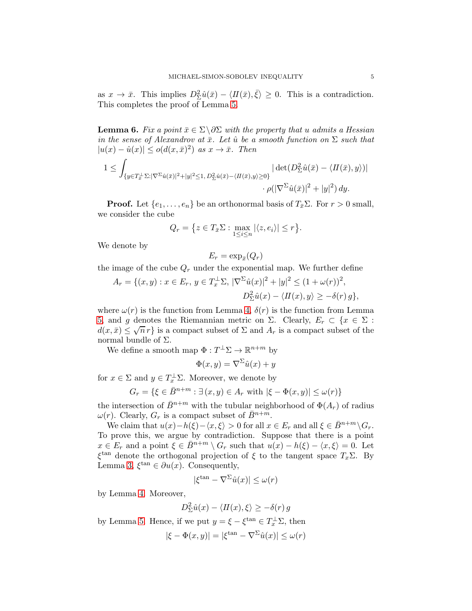as  $x \to \bar{x}$ . This implies  $D^2_{\Sigma} \hat{u}(\bar{x}) - \langle H(\bar{x}), \bar{\xi} \rangle \geq 0$ . This is a contradiction. This completes the proof of Lemma [5.](#page-3-0)

<span id="page-4-0"></span>**Lemma 6.** Fix a point  $\bar{x} \in \Sigma \backslash \partial \Sigma$  with the property that u admits a Hessian in the sense of Alexandrov at  $\bar{x}$ . Let  $\hat{u}$  be a smooth function on  $\Sigma$  such that  $|u(x) - \hat{u}(x)| \le o(d(x, \bar{x})^2)$  as  $x \to \bar{x}$ . Then

$$
1 \leq \int_{\{y \in T_{\bar{x}}^{\perp} \Sigma : |\nabla^{\Sigma} \hat{u}(\bar{x})|^2 + |y|^2 \leq 1, D_{\Sigma}^2 \hat{u}(\bar{x}) - \langle H(\bar{x}), y \rangle \geq 0\}} \left| \det(D_{\Sigma}^2 \hat{u}(\bar{x}) - \langle H(\bar{x}), y \rangle) \right|
$$

$$
\cdot \rho(|\nabla^{\Sigma} \hat{u}(\bar{x})|^2 + |y|^2) dy.
$$

**Proof.** Let  $\{e_1, \ldots, e_n\}$  be an orthonormal basis of  $T_{\bar{x}}\Sigma$ . For  $r > 0$  small, we consider the cube

$$
Q_r = \{ z \in T_{\bar{x}}\Sigma : \max_{1 \leq i \leq n} |\langle z, e_i \rangle| \leq r \}.
$$

We denote by

$$
E_r = \exp_{\bar{x}}(Q_r)
$$

the image of the cube  $Q_r$  under the exponential map. We further define

$$
A_r = \{(x, y) : x \in E_r, y \in T_x^{\perp} \Sigma, |\nabla^{\Sigma} \hat{u}(x)|^2 + |y|^2 \le (1 + \omega(r))^2,
$$
  

$$
D_{\Sigma}^2 \hat{u}(x) - \langle H(x), y \rangle \ge -\delta(r) g\},
$$

where  $\omega(r)$  is the function from Lemma [4,](#page-3-1)  $\delta(r)$  is the function from Lemma [5,](#page-3-0) and g denotes the Riemannian metric on Σ. Clearly,  $E_r \subset \{x \in \Sigma :$  $d(x,\bar{x}) \leq \sqrt{n} r$  is a compact subset of  $\Sigma$  and  $A_r$  is a compact subset of the normal bundle of  $Σ$ .

We define a smooth map  $\Phi: T^{\perp} \Sigma \to \mathbb{R}^{n+m}$  by

$$
\Phi(x, y) = \nabla^{\Sigma} \hat{u}(x) + y
$$

for  $x \in \Sigma$  and  $y \in T_x^{\perp} \Sigma$ . Moreover, we denote by

$$
G_r = \{ \xi \in \bar{B}^{n+m} : \exists (x, y) \in A_r \text{ with } |\xi - \Phi(x, y)| \le \omega(r) \}
$$

the intersection of  $\bar{B}^{n+m}$  with the tubular neighborhood of  $\Phi(A_r)$  of radius  $\omega(r)$ . Clearly,  $G_r$  is a compact subset of  $\bar{B}^{n+m}$ .

We claim that  $u(x)-h(\xi)-\langle x,\xi\rangle > 0$  for all  $x \in E_r$  and all  $\xi \in \overline{B}^{n+m} \backslash G_r$ . To prove this, we argue by contradiction. Suppose that there is a point  $x \in E_r$  and a point  $\xi \in \overline{B}^{n+m} \setminus G_r$  such that  $u(x) - h(\xi) - \langle x, \xi \rangle = 0$ . Let  $\xi^{\text{tan}}$  denote the orthogonal projection of  $\xi$  to the tangent space  $T_x\Sigma$ . By Lemma [3,](#page-2-1)  $\xi^{\tan} \in \partial u(x)$ . Consequently,

$$
|\xi^{\tan} - \nabla^{\Sigma} \hat{u}(x)| \le \omega(r)
$$

by Lemma [4.](#page-3-1) Moreover,

$$
D_{\Sigma}^{2}\hat{u}(x) - \langle H(x), \xi \rangle \geq -\delta(r) g
$$

by Lemma [5.](#page-3-0) Hence, if we put  $y = \xi - \xi^{\tan} \in T_x^{\perp} \Sigma$ , then

$$
|\xi - \Phi(x, y)| = |\xi^{\tan} - \nabla^{\Sigma} \hat{u}(x)| \le \omega(r)
$$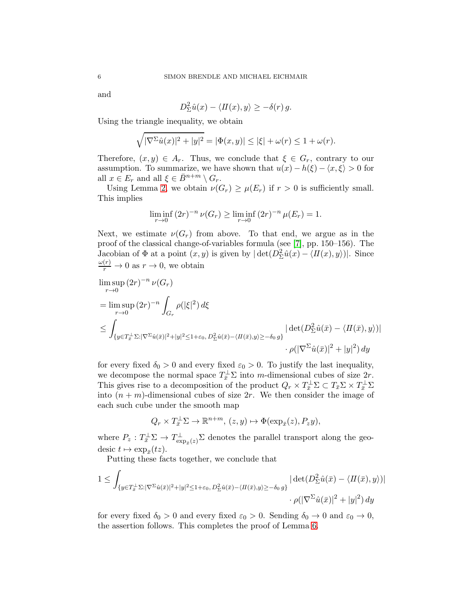and

$$
D_{\Sigma}^{2}\hat{u}(x) - \langle H(x), y \rangle \geq -\delta(r) g.
$$

Using the triangle inequality, we obtain

$$
\sqrt{|\nabla^{\Sigma} \hat{u}(x)|^2 + |y|^2} = |\Phi(x, y)| \le |\xi| + \omega(r) \le 1 + \omega(r).
$$

Therefore,  $(x, y) \in A_r$ . Thus, we conclude that  $\xi \in G_r$ , contrary to our assumption. To summarize, we have shown that  $u(x) - h(\xi) - \langle x, \xi \rangle > 0$  for all  $x \in E_r$  and all  $\xi \in \overline{B}^{n+m} \setminus G_r$ .

Using Lemma [2,](#page-2-0) we obtain  $\nu(G_r) \geq \mu(E_r)$  if  $r > 0$  is sufficiently small. This implies

$$
\liminf_{r \to 0} (2r)^{-n} \nu(G_r) \ge \liminf_{r \to 0} (2r)^{-n} \mu(E_r) = 1.
$$

Next, we estimate  $\nu(G_r)$  from above. To that end, we argue as in the proof of the classical change-of-variables formula (see [\[7\]](#page-7-7), pp. 150–156). The Jacobian of  $\Phi$  at a point  $(x, y)$  is given by  $|\det(D_{\Sigma}^2 \hat{u}(x) - \langle H(x), y \rangle)|$ . Since  $\frac{\omega(r)}{r} \to 0$  as  $r \to 0$ , we obtain

$$
\limsup_{r\to 0} (2r)^{-n} \nu(G_r)
$$
\n
$$
= \limsup_{r\to 0} (2r)^{-n} \int_{G_r} \rho(|\xi|^2) d\xi
$$
\n
$$
\leq \int_{\{y \in T_{\bar{x}}^{\perp} \Sigma : |\nabla^{\Sigma} \hat{u}(\bar{x})|^2 + |y|^2 \leq 1 + \varepsilon_0, D_{\Sigma}^2 \hat{u}(\bar{x}) - \langle H(\bar{x}), y \rangle \geq -\delta_0 g\}} |\det(D_{\Sigma}^2 \hat{u}(\bar{x}) - \langle H(\bar{x}), y \rangle)|
$$
\n
$$
\cdot \rho(|\nabla^{\Sigma} \hat{u}(\bar{x})|^2 + |y|^2) dy
$$

for every fixed  $\delta_0 > 0$  and every fixed  $\varepsilon_0 > 0$ . To justify the last inequality, we decompose the normal space  $T_{\bar{x}}^{\perp} \Sigma$  into m-dimensional cubes of size  $2r$ . This gives rise to a decomposition of the product  $Q_r \times T_{\bar{x}}^{\perp} \Sigma \subset T_{\bar{x}} \Sigma \times T_{\bar{x}}^{\perp} \Sigma$ into  $(n + m)$ -dimensional cubes of size 2r. We then consider the image of each such cube under the smooth map

$$
Q_r \times T_{\overline{x}}^{\perp} \Sigma \to \mathbb{R}^{n+m}, (z, y) \mapsto \Phi(\exp_{\overline{x}}(z), P_z y),
$$

where  $P_z: T_{\bar{x}}^{\perp} \Sigma \to T_{\exp_{\bar{x}}(z)}^{\perp} \Sigma$  denotes the parallel transport along the geodesic  $t \mapsto \exp_{\bar{x}}(tz)$ .

Putting these facts together, we conclude that

$$
1 \leq \int_{\{y \in T_{\bar{x}}^{\perp} \Sigma : |\nabla^{\Sigma} \hat{u}(\bar{x})|^2 + |y|^2 \leq 1 + \varepsilon_0, D_{\Sigma}^2 \hat{u}(\bar{x}) - \langle H(\bar{x}), y \rangle \geq -\delta_0 g\}} \left| \det(D_{\Sigma}^2 \hat{u}(\bar{x}) - \langle H(\bar{x}), y \rangle) \right|
$$
  
 
$$
\cdot \rho(|\nabla^{\Sigma} \hat{u}(\bar{x})|^2 + |y|^2) dy
$$

for every fixed  $\delta_0 > 0$  and every fixed  $\varepsilon_0 > 0$ . Sending  $\delta_0 \to 0$  and  $\varepsilon_0 \to 0$ , the assertion follows. This completes the proof of Lemma [6.](#page-4-0)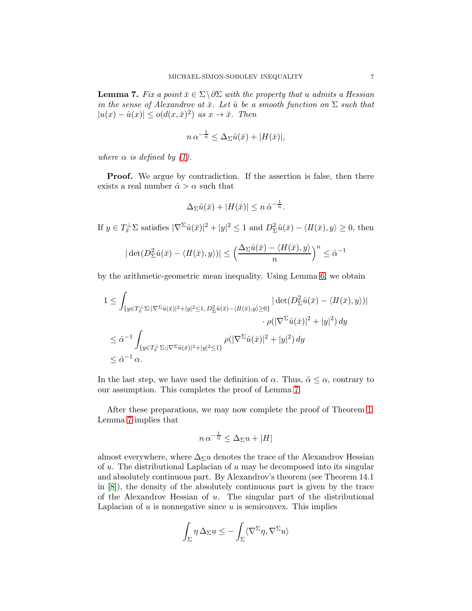<span id="page-6-0"></span>**Lemma 7.** Fix a point  $\bar{x} \in \Sigma \backslash \partial \Sigma$  with the property that u admits a Hessian in the sense of Alexandrov at  $\bar{x}$ . Let  $\hat{u}$  be a smooth function on  $\Sigma$  such that  $|u(x) - \hat{u}(x)| \le o(d(x, \bar{x})^2)$  as  $x \to \bar{x}$ . Then

$$
n \alpha^{-\frac{1}{n}} \le \Delta_{\Sigma} \hat{u}(\bar{x}) + |H(\bar{x})|,
$$

where  $\alpha$  is defined by [\(1\)](#page-0-2).

**Proof.** We argue by contradiction. If the assertion is false, then there exists a real number  $\hat{\alpha} > \alpha$  such that

$$
\Delta_{\Sigma}\hat{u}(\bar{x}) + |H(\bar{x})| \leq n \,\hat{\alpha}^{-\frac{1}{n}}.
$$

If  $y \in T_{\overline{x}}^{\perp} \Sigma$  satisfies  $|\nabla^{\Sigma} \hat{u}(\overline{x})|^2 + |y|^2 \le 1$  and  $D_{\Sigma}^2 \hat{u}(\overline{x}) - \langle H(\overline{x}), y \rangle \ge 0$ , then

$$
|\det(D_{\Sigma}^2\hat{u}(\bar{x}) - \langle H(\bar{x}), y \rangle)| \leq \left(\frac{\Delta_{\Sigma}\hat{u}(\bar{x}) - \langle H(\bar{x}), y \rangle}{n}\right)^n \leq \hat{\alpha}^{-1}
$$

by the arithmetic-geometric mean inequality. Using Lemma [6,](#page-4-0) we obtain

$$
1 \leq \int_{\{y \in T_{\bar{x}}^{\perp} \Sigma : |\nabla^{\Sigma} \hat{u}(\bar{x})|^2 + |y|^2 \leq 1, D_{\Sigma}^2 \hat{u}(\bar{x}) - \langle H(\bar{x}), y \rangle \geq 0\}} \left| \det(D_{\Sigma}^2 \hat{u}(\bar{x}) - \langle H(\bar{x}), y \rangle) \right|
$$
  

$$
\leq \hat{\alpha}^{-1} \int_{\{y \in T_{\bar{x}}^{\perp} \Sigma : |\nabla^{\Sigma} \hat{u}(\bar{x})|^2 + |y|^2 \leq 1\}} \rho(|\nabla^{\Sigma} \hat{u}(\bar{x})|^2 + |y|^2) dy
$$
  

$$
\leq \hat{\alpha}^{-1} \alpha.
$$

In the last step, we have used the definition of  $\alpha$ . Thus,  $\hat{\alpha} \leq \alpha$ , contrary to our assumption. This completes the proof of Lemma [7.](#page-6-0)

After these preparations, we may now complete the proof of Theorem [1.](#page-0-0) Lemma [7](#page-6-0) implies that

$$
n \alpha^{-\frac{1}{n}} \le \Delta_{\Sigma} u + |H|
$$

almost everywhere, where  $\Delta_{\Sigma} u$  denotes the trace of the Alexandrov Hessian of  $u$ . The distributional Laplacian of  $u$  may be decomposed into its singular and absolutely continuous part. By Alexandrov's theorem (see Theorem 14.1 in [\[8\]](#page-7-6)), the density of the absolutely continuous part is given by the trace of the Alexandrov Hessian of  $u$ . The singular part of the distributional Laplacian of  $u$  is nonnegative since  $u$  is semiconvex. This implies

$$
\int_{\Sigma} \eta \, \Delta_{\Sigma} u \leq -\int_{\Sigma} \langle \nabla^{\Sigma} \eta, \nabla^{\Sigma} u \rangle
$$